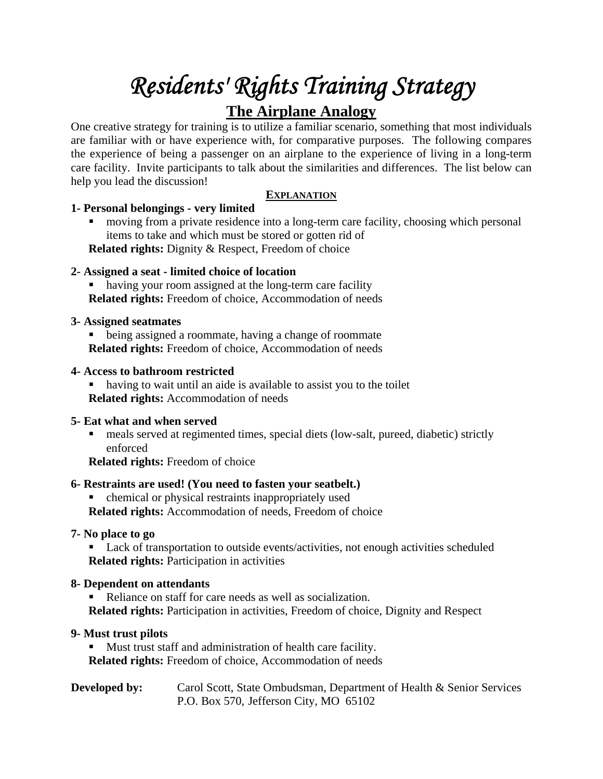# *Residents' Rights Training Strategy*

# **The Airplane Analogy**

One creative strategy for training is to utilize a familiar scenario, something that most individuals are familiar with or have experience with, for comparative purposes. The following compares the experience of being a passenger on an airplane to the experience of living in a long-term care facility. Invite participants to talk about the similarities and differences. The list below can help you lead the discussion!

# **EXPLANATION**

# **1- Personal belongings - very limited**

 moving from a private residence into a long-term care facility, choosing which personal items to take and which must be stored or gotten rid of **Related rights:** Dignity & Respect, Freedom of choice

## **2- Assigned a seat - limited choice of location**

 having your room assigned at the long-term care facility **Related rights:** Freedom of choice, Accommodation of needs

## **3- Assigned seatmates**

• being assigned a roommate, having a change of roommate **Related rights:** Freedom of choice, Accommodation of needs

#### **4- Access to bathroom restricted**

 having to wait until an aide is available to assist you to the toilet **Related rights:** Accommodation of needs

# **5- Eat what and when served**

 meals served at regimented times, special diets (low-salt, pureed, diabetic) strictly enforced

**Related rights:** Freedom of choice

# **6- Restraints are used! (You need to fasten your seatbelt.)**

 chemical or physical restraints inappropriately used **Related rights:** Accommodation of needs, Freedom of choice

#### **7- No place to go**

■ Lack of transportation to outside events/activities, not enough activities scheduled **Related rights:** Participation in activities

#### **8- Dependent on attendants**

 Reliance on staff for care needs as well as socialization. **Related rights:** Participation in activities, Freedom of choice, Dignity and Respect

#### **9- Must trust pilots**

 Must trust staff and administration of health care facility. **Related rights:** Freedom of choice, Accommodation of needs

#### **Developed by:** Carol Scott, State Ombudsman, Department of Health & Senior Services P.O. Box 570, Jefferson City, MO 65102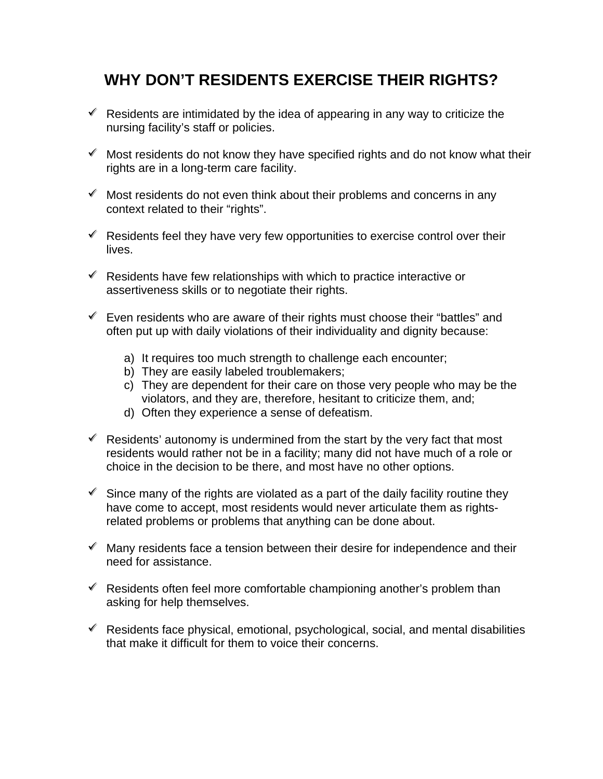# **WHY DON'T RESIDENTS EXERCISE THEIR RIGHTS?**

- $\mathscr V$  Residents are intimidated by the idea of appearing in any way to criticize the nursing facility's staff or policies.
- $\mathscr V$  Most residents do not know they have specified rights and do not know what their rights are in a long-term care facility.
- $\mathscr V$  Most residents do not even think about their problems and concerns in any context related to their "rights".
- $\mathscr V$  Residents feel they have very few opportunities to exercise control over their lives.
- $\mathscr V$  Residents have few relationships with which to practice interactive or assertiveness skills or to negotiate their rights.
- $\mathscr V$  Even residents who are aware of their rights must choose their "battles" and often put up with daily violations of their individuality and dignity because:
	- a) It requires too much strength to challenge each encounter;
	- b) They are easily labeled troublemakers;
	- c) They are dependent for their care on those very people who may be the violators, and they are, therefore, hesitant to criticize them, and;
	- d) Often they experience a sense of defeatism.
- $\mathscr V$  Residents' autonomy is undermined from the start by the very fact that most residents would rather not be in a facility; many did not have much of a role or choice in the decision to be there, and most have no other options.
- $\mathscr I$  Since many of the rights are violated as a part of the daily facility routine they have come to accept, most residents would never articulate them as rightsrelated problems or problems that anything can be done about.
- $\mathscr$  Many residents face a tension between their desire for independence and their need for assistance.
- $\mathscr V$  Residents often feel more comfortable championing another's problem than asking for help themselves.
- $\mathscr V$  Residents face physical, emotional, psychological, social, and mental disabilities that make it difficult for them to voice their concerns.